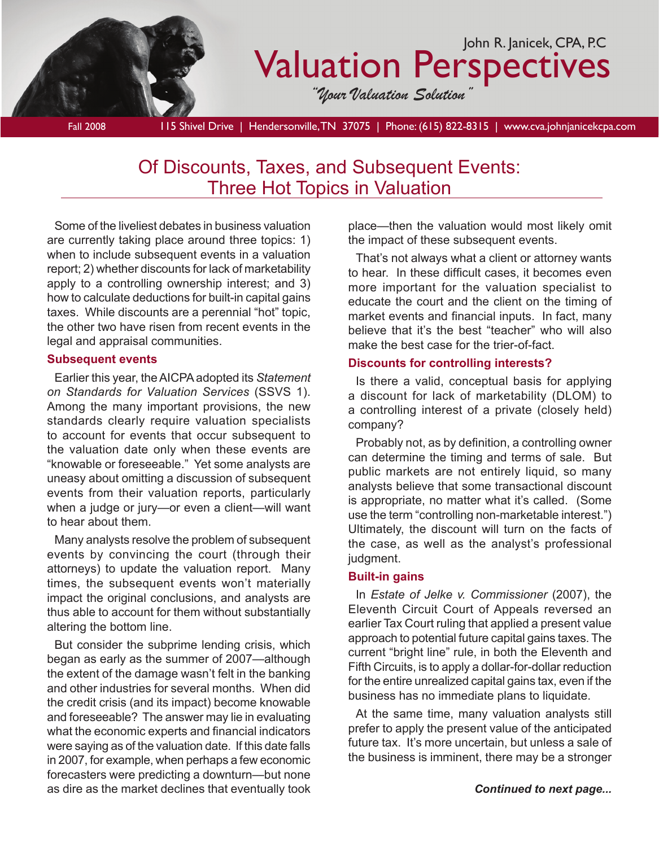

Fall 2008 115 Shivel Drive | Hendersonville, TN 37075 | Phone: (615) 822-8315 | www.cva.johnjanicekcpa.com

## Of Discounts, Taxes, and Subsequent Events: Three Hot Topics in Valuation

Some of the liveliest debates in business valuation are currently taking place around three topics: 1) when to include subsequent events in a valuation report; 2) whether discounts for lack of marketability apply to a controlling ownership interest; and 3) how to calculate deductions for built-in capital gains taxes. While discounts are a perennial "hot" topic, the other two have risen from recent events in the legal and appraisal communities.

#### **Subsequent events**

Earlier this year, the AICPA adopted its *Statement on Standards for Valuation Services* (SSVS 1). Among the many important provisions, the new standards clearly require valuation specialists to account for events that occur subsequent to the valuation date only when these events are "knowable or foreseeable." Yet some analysts are uneasy about omitting a discussion of subsequent events from their valuation reports, particularly when a judge or jury—or even a client—will want to hear about them.

Many analysts resolve the problem of subsequent events by convincing the court (through their attorneys) to update the valuation report. Many times, the subsequent events won't materially impact the original conclusions, and analysts are thus able to account for them without substantially altering the bottom line.

But consider the subprime lending crisis, which began as early as the summer of 2007—although the extent of the damage wasn't felt in the banking and other industries for several months. When did the credit crisis (and its impact) become knowable and foreseeable? The answer may lie in evaluating what the economic experts and financial indicators were saying as of the valuation date. If this date falls in 2007, for example, when perhaps a few economic forecasters were predicting a downturn—but none as dire as the market declines that eventually took

place—then the valuation would most likely omit the impact of these subsequent events.

That's not always what a client or attorney wants to hear. In these difficult cases, it becomes even more important for the valuation specialist to educate the court and the client on the timing of market events and financial inputs. In fact, many believe that it's the best "teacher" who will also make the best case for the trier-of-fact.

#### **Discounts for controlling interests?**

Is there a valid, conceptual basis for applying a discount for lack of marketability (DLOM) to a controlling interest of a private (closely held) company?

Probably not, as by definition, a controlling owner can determine the timing and terms of sale. But public markets are not entirely liquid, so many analysts believe that some transactional discount is appropriate, no matter what it's called. (Some use the term "controlling non-marketable interest.") Ultimately, the discount will turn on the facts of the case, as well as the analyst's professional judgment.

#### **Built-in gains**

In *Estate of Jelke v. Commissioner* (2007), the Eleventh Circuit Court of Appeals reversed an earlier Tax Court ruling that applied a present value approach to potential future capital gains taxes. The current "bright line" rule, in both the Eleventh and Fifth Circuits, is to apply a dollar-for-dollar reduction for the entire unrealized capital gains tax, even if the business has no immediate plans to liquidate.

At the same time, many valuation analysts still prefer to apply the present value of the anticipated future tax. It's more uncertain, but unless a sale of the business is imminent, there may be a stronger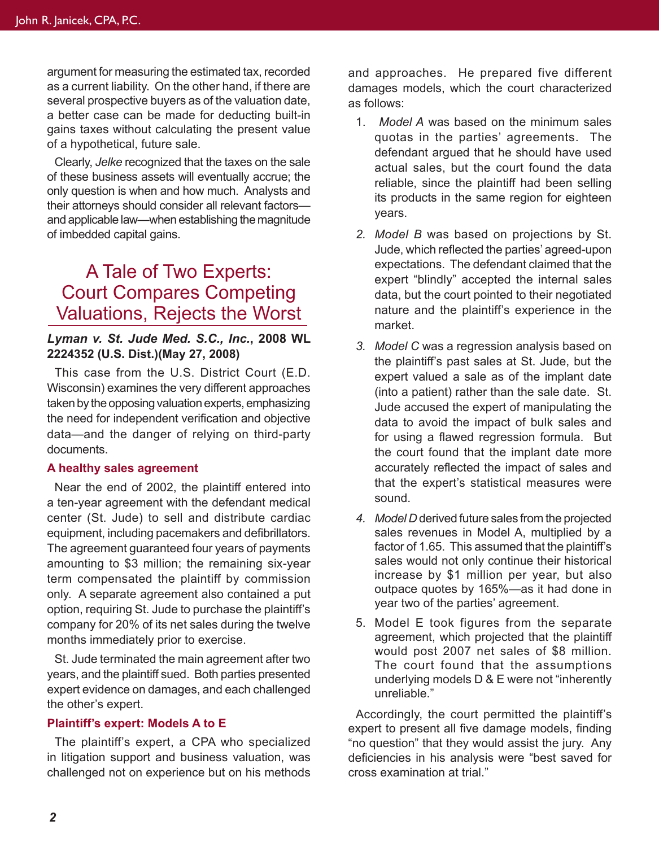argument for measuring the estimated tax, recorded as a current liability. On the other hand, if there are several prospective buyers as of the valuation date, a better case can be made for deducting built-in gains taxes without calculating the present value of a hypothetical, future sale.

Clearly, *Jelke* recognized that the taxes on the sale of these business assets will eventually accrue; the only question is when and how much. Analysts and their attorneys should consider all relevant factors and applicable law—when establishing the magnitude of imbedded capital gains.

## A Tale of Two Experts: Court Compares Competing Valuations, Rejects the Worst

### *Lyman v. St. Jude Med. S.C., Inc.***, 2008 WL 2224352 (U.S. Dist.)(May 27, 2008)**

This case from the U.S. District Court (E.D. Wisconsin) examines the very different approaches taken by the opposing valuation experts, emphasizing the need for independent verification and objective data—and the danger of relying on third-party documents.

#### **A healthy sales agreement**

Near the end of 2002, the plaintiff entered into a ten-year agreement with the defendant medical center (St. Jude) to sell and distribute cardiac equipment, including pacemakers and defibrillators. The agreement guaranteed four years of payments amounting to \$3 million; the remaining six-year term compensated the plaintiff by commission only. A separate agreement also contained a put option, requiring St. Jude to purchase the plaintiff's company for 20% of its net sales during the twelve months immediately prior to exercise.

St. Jude terminated the main agreement after two years, and the plaintiff sued. Both parties presented expert evidence on damages, and each challenged the other's expert.

#### **Plaintiff's expert: Models A to E**

The plaintiff's expert, a CPA who specialized in litigation support and business valuation, was challenged not on experience but on his methods and approaches. He prepared five different damages models, which the court characterized as follows:

- 1. *Model A* was based on the minimum sales quotas in the parties' agreements. The defendant argued that he should have used actual sales, but the court found the data reliable, since the plaintiff had been selling its products in the same region for eighteen years.
- *2. Model B* was based on projections by St. Jude, which reflected the parties' agreed-upon expectations. The defendant claimed that the expert "blindly" accepted the internal sales data, but the court pointed to their negotiated nature and the plaintiff's experience in the market.
- *3. Model C* was a regression analysis based on the plaintiff's past sales at St. Jude, but the expert valued a sale as of the implant date (into a patient) rather than the sale date. St. Jude accused the expert of manipulating the data to avoid the impact of bulk sales and for using a flawed regression formula. But the court found that the implant date more accurately reflected the impact of sales and that the expert's statistical measures were sound.
- *4. Model D* derived future sales from the projected sales revenues in Model A, multiplied by a factor of 1.65. This assumed that the plaintiff's sales would not only continue their historical increase by \$1 million per year, but also outpace quotes by 165%—as it had done in year two of the parties' agreement.
- 5. Model E took figures from the separate agreement, which projected that the plaintiff would post 2007 net sales of \$8 million. The court found that the assumptions underlying models D & E were not "inherently unreliable."

Accordingly, the court permitted the plaintiff's expert to present all five damage models, finding "no question" that they would assist the jury. Any deficiencies in his analysis were "best saved for cross examination at trial."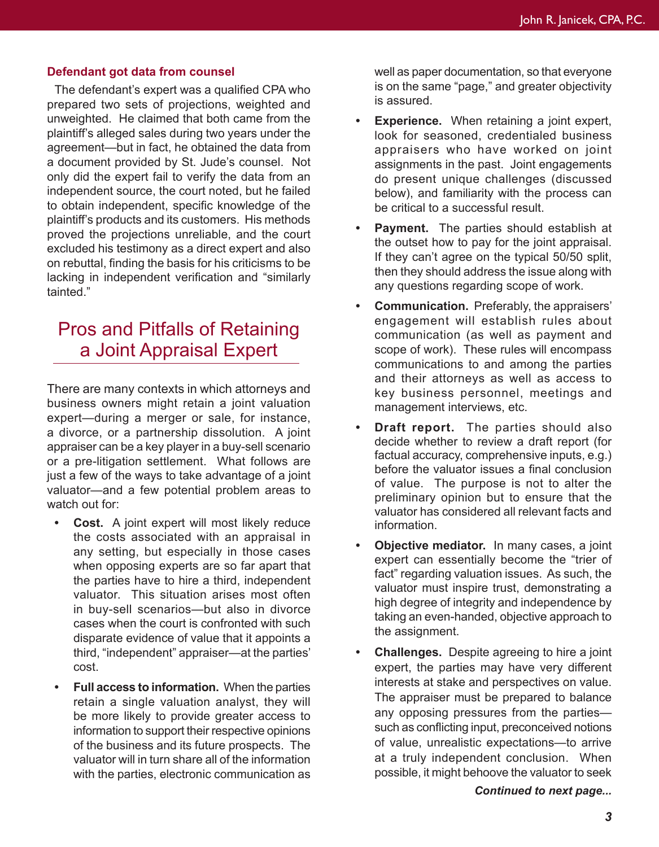#### **Defendant got data from counsel**

The defendant's expert was a qualified CPA who prepared two sets of projections, weighted and unweighted. He claimed that both came from the plaintiff's alleged sales during two years under the agreement—but in fact, he obtained the data from a document provided by St. Jude's counsel. Not only did the expert fail to verify the data from an independent source, the court noted, but he failed to obtain independent, specific knowledge of the plaintiff's products and its customers. His methods proved the projections unreliable, and the court excluded his testimony as a direct expert and also on rebuttal, finding the basis for his criticisms to be lacking in independent verification and "similarly tainted."

# Pros and Pitfalls of Retaining a Joint Appraisal Expert

There are many contexts in which attorneys and business owners might retain a joint valuation expert—during a merger or sale, for instance, a divorce, or a partnership dissolution. A joint appraiser can be a key player in a buy-sell scenario or a pre-litigation settlement. What follows are just a few of the ways to take advantage of a joint valuator—and a few potential problem areas to watch out for:

- **Cost.** A joint expert will most likely reduce the costs associated with an appraisal in any setting, but especially in those cases when opposing experts are so far apart that the parties have to hire a third, independent valuator. This situation arises most often in buy-sell scenarios—but also in divorce cases when the court is confronted with such disparate evidence of value that it appoints a third, "independent" appraiser—at the parties' cost.
- **Full access to information.** When the parties retain a single valuation analyst, they will be more likely to provide greater access to information to support their respective opinions of the business and its future prospects. The valuator will in turn share all of the information with the parties, electronic communication as

well as paper documentation, so that everyone is on the same "page," and greater objectivity is assured.

- **Experience.** When retaining a joint expert, look for seasoned, credentialed business appraisers who have worked on joint assignments in the past. Joint engagements do present unique challenges (discussed below), and familiarity with the process can be critical to a successful result.
- **Payment.** The parties should establish at the outset how to pay for the joint appraisal. If they can't agree on the typical 50/50 split, then they should address the issue along with any questions regarding scope of work.
- **Communication.** Preferably, the appraisers' engagement will establish rules about communication (as well as payment and scope of work). These rules will encompass communications to and among the parties and their attorneys as well as access to key business personnel, meetings and management interviews, etc.
- **Draft report.** The parties should also decide whether to review a draft report (for factual accuracy, comprehensive inputs, e.g.) before the valuator issues a final conclusion of value. The purpose is not to alter the preliminary opinion but to ensure that the valuator has considered all relevant facts and information.
- **Objective mediator.** In many cases, a joint expert can essentially become the "trier of fact" regarding valuation issues. As such, the valuator must inspire trust, demonstrating a high degree of integrity and independence by taking an even-handed, objective approach to the assignment.
- **Challenges.** Despite agreeing to hire a joint expert, the parties may have very different interests at stake and perspectives on value. The appraiser must be prepared to balance any opposing pressures from the parties such as conflicting input, preconceived notions of value, unrealistic expectations—to arrive at a truly independent conclusion. When possible, it might behoove the valuator to seek

*Continued to next page...*